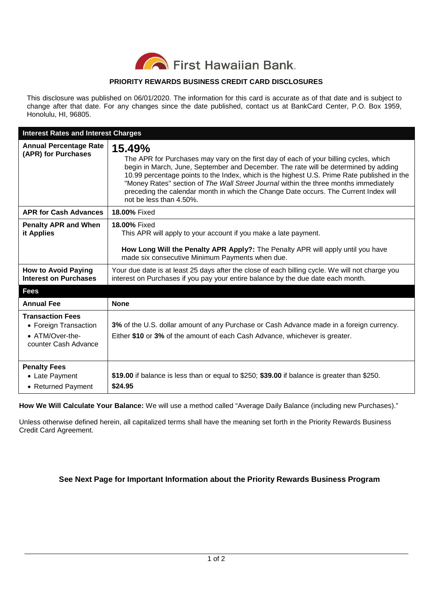

## **PRIORITY REWARDS BUSINESS CREDIT CARD DISCLOSURES**

This disclosure was published on 06/01/2020. The information for this card is accurate as of that date and is subject to change after that date. For any changes since the date published, contact us at BankCard Center, P.O. Box 1959, Honolulu, HI, 96805.

| <b>Interest Rates and Interest Charges</b>                                                  |                                                                                                                                                                                                                                                                                                                                                                                                                                                                                                  |
|---------------------------------------------------------------------------------------------|--------------------------------------------------------------------------------------------------------------------------------------------------------------------------------------------------------------------------------------------------------------------------------------------------------------------------------------------------------------------------------------------------------------------------------------------------------------------------------------------------|
| <b>Annual Percentage Rate</b><br>(APR) for Purchases                                        | 15.49%<br>The APR for Purchases may vary on the first day of each of your billing cycles, which<br>begin in March, June, September and December. The rate will be determined by adding<br>10.99 percentage points to the Index, which is the highest U.S. Prime Rate published in the<br>"Money Rates" section of The Wall Street Journal within the three months immediately<br>preceding the calendar month in which the Change Date occurs. The Current Index will<br>not be less than 4.50%. |
| <b>APR for Cash Advances</b>                                                                | 18.00% Fixed                                                                                                                                                                                                                                                                                                                                                                                                                                                                                     |
| <b>Penalty APR and When</b><br>it Applies                                                   | 18.00% Fixed<br>This APR will apply to your account if you make a late payment.<br>How Long Will the Penalty APR Apply?: The Penalty APR will apply until you have<br>made six consecutive Minimum Payments when due.                                                                                                                                                                                                                                                                            |
| <b>How to Avoid Paying</b><br><b>Interest on Purchases</b>                                  | Your due date is at least 25 days after the close of each billing cycle. We will not charge you<br>interest on Purchases if you pay your entire balance by the due date each month.                                                                                                                                                                                                                                                                                                              |
| <b>Fees</b>                                                                                 |                                                                                                                                                                                                                                                                                                                                                                                                                                                                                                  |
| <b>Annual Fee</b>                                                                           | <b>None</b>                                                                                                                                                                                                                                                                                                                                                                                                                                                                                      |
| <b>Transaction Fees</b><br>• Foreign Transaction<br>• ATM/Over-the-<br>counter Cash Advance | 3% of the U.S. dollar amount of any Purchase or Cash Advance made in a foreign currency.<br>Either \$10 or 3% of the amount of each Cash Advance, whichever is greater.                                                                                                                                                                                                                                                                                                                          |
| <b>Penalty Fees</b><br>• Late Payment<br>• Returned Payment                                 | \$19.00 if balance is less than or equal to \$250; \$39.00 if balance is greater than \$250.<br>\$24.95                                                                                                                                                                                                                                                                                                                                                                                          |

**How We Will Calculate Your Balance:** We will use a method called "Average Daily Balance (including new Purchases)."

Unless otherwise defined herein, all capitalized terms shall have the meaning set forth in the Priority Rewards Business Credit Card Agreement.

## **See Next Page for Important Information about the Priority Rewards Business Program**